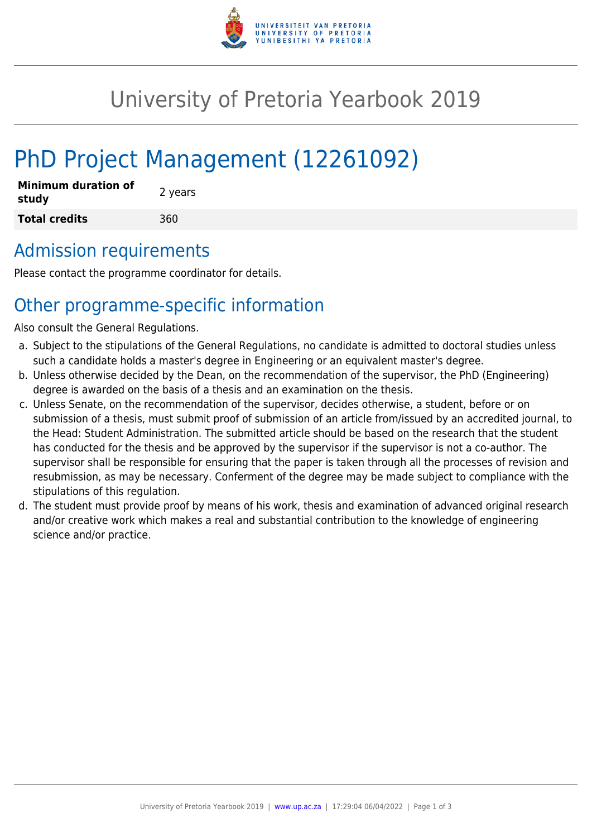

## University of Pretoria Yearbook 2019

# PhD Project Management (12261092)

| <b>Minimum duration of</b><br>study | 2 years |
|-------------------------------------|---------|
| <b>Total credits</b>                | 360     |

## Admission requirements

Please contact the programme coordinator for details.

## Other programme-specific information

Also consult the General Regulations.

- a. Subject to the stipulations of the General Regulations, no candidate is admitted to doctoral studies unless such a candidate holds a master's degree in Engineering or an equivalent master's degree.
- b. Unless otherwise decided by the Dean, on the recommendation of the supervisor, the PhD (Engineering) degree is awarded on the basis of a thesis and an examination on the thesis.
- c. Unless Senate, on the recommendation of the supervisor, decides otherwise, a student, before or on submission of a thesis, must submit proof of submission of an article from/issued by an accredited journal, to the Head: Student Administration. The submitted article should be based on the research that the student has conducted for the thesis and be approved by the supervisor if the supervisor is not a co-author. The supervisor shall be responsible for ensuring that the paper is taken through all the processes of revision and resubmission, as may be necessary. Conferment of the degree may be made subject to compliance with the stipulations of this regulation.
- d. The student must provide proof by means of his work, thesis and examination of advanced original research and/or creative work which makes a real and substantial contribution to the knowledge of engineering science and/or practice.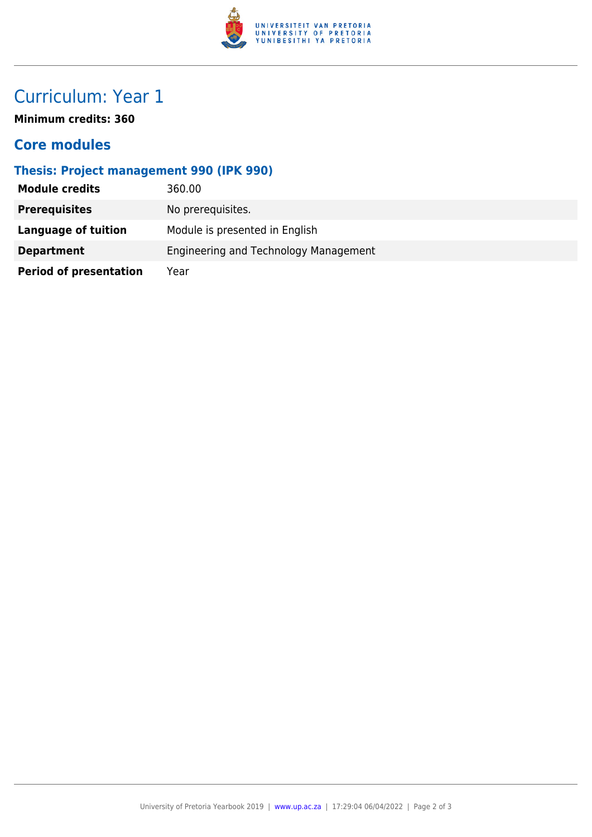

## Curriculum: Year 1

**Minimum credits: 360**

#### **Core modules**

#### **Thesis: Project management 990 (IPK 990)**

| <b>Module credits</b>         | 360.00                                |
|-------------------------------|---------------------------------------|
| <b>Prerequisites</b>          | No prerequisites.                     |
| Language of tuition           | Module is presented in English        |
| <b>Department</b>             | Engineering and Technology Management |
| <b>Period of presentation</b> | Year                                  |